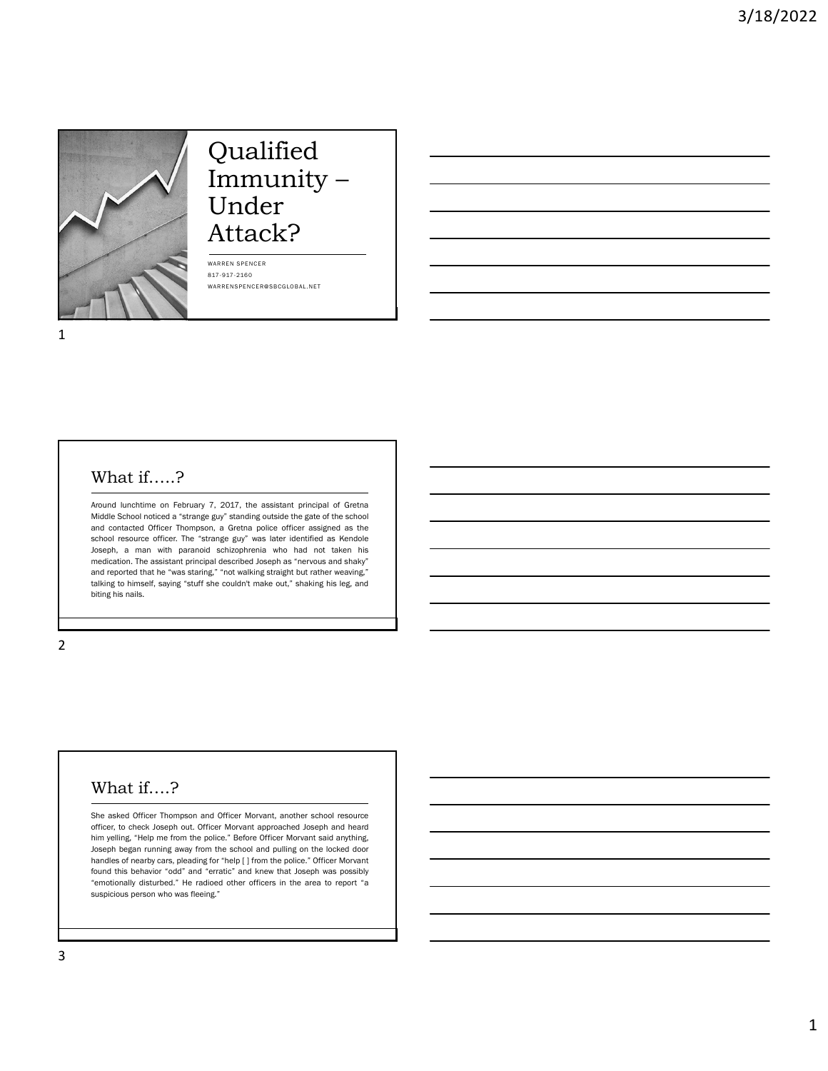

# Qualified Immunity – Under Attack?

WARREN SPENCER 817-917-2160 WARRENSPENCER@SBCGLOBAL.NET

#### What if…..?

Around lunchtime on February 7, 2017, the assistant principal of Gretna Middle School noticed a "strange guy" standing outside the gate of the school and contacted Officer Thompson, a Gretna police officer assigned as the school resource officer. The "strange guy" was later identified as Kendole Joseph, a man with paranoid schizophrenia who had not taken his medication. The assistant principal described Joseph as "nervous and shaky" and reported that he "was staring," "not walking straight but rather weaving," talking to himself, saying "stuff she couldn't make out," shaking his leg, and biting his nails.

#### 2

# What if….?

She asked Officer Thompson and Officer Morvant, another school resource officer, to check Joseph out. Officer Morvant approached Joseph and heard him yelling, "Help me from the police." Before Officer Morvant said anything, Joseph began running away from the school and pulling on the locked door handles of nearby cars, pleading for "help [ ] from the police." Officer Morvant found this behavior "odd" and "erratic" and knew that Joseph was possibly "emotionally disturbed." He radioed other officers in the area to report "a suspicious person who was fleeing."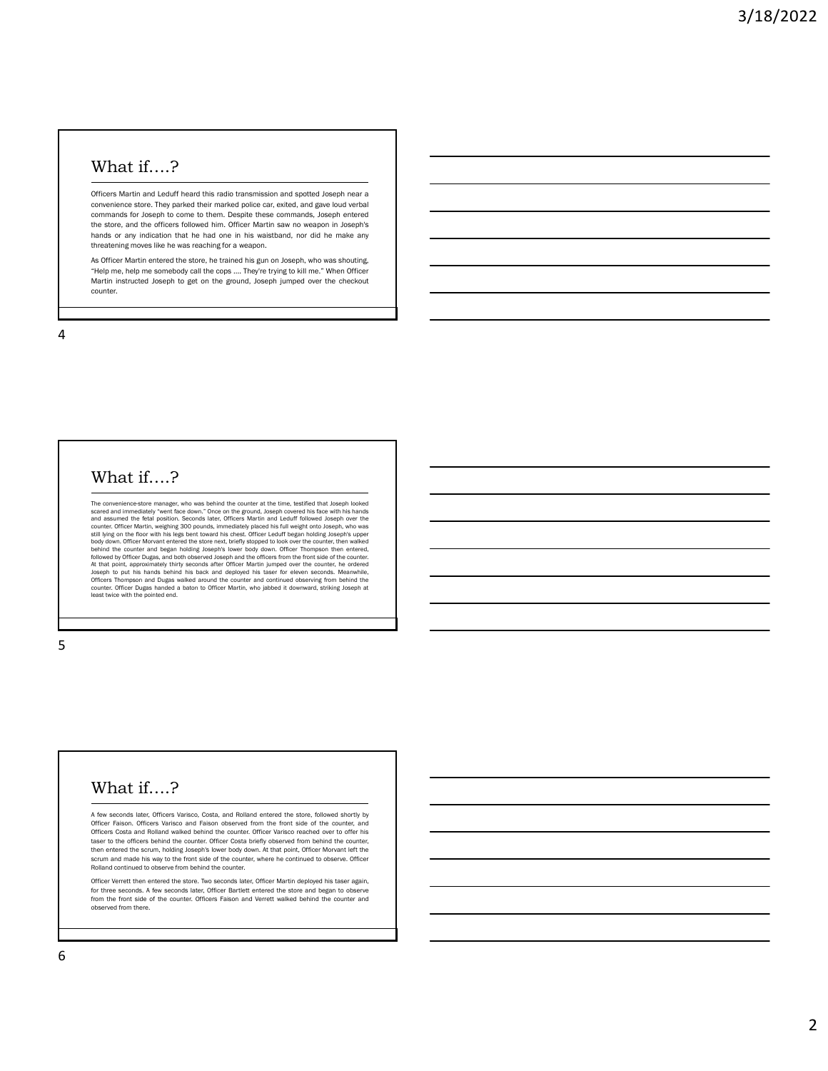### What if….?

Officers Martin and Leduff heard this radio transmission and spotted Joseph near a convenience store. They parked their marked police car, exited, and gave loud verbal commands for Joseph to come to them. Despite these commands, Joseph entered the store, and the officers followed him. Officer Martin saw no weapon in Joseph's hands or any indication that he had one in his waistband, nor did he make any threatening moves like he was reaching for a weapon.

As Officer Martin entered the store, he trained his gun on Joseph, who was shouting, "Help me, help me somebody call the cops .... They're trying to kill me." When Officer Martin instructed Joseph to get on the ground, Joseph jumped over the checkout counter.

4

#### What if….?

The convenience-store manager, who was behind the counter at the time, testified that Joseph looked<br>scared and immediately "went face down." Once on the ground, Joseph covered his face with his hands<br>and assumed the fetal still lying on the floor with his legs bent toward his chest. Officer Leduff began holding Joseph's upper<br>body down. Officer Movarut entered the store next, briefly stopped to look over the counter, then walked<br>behind the Officers Thompson and Dugas walked around the counter and continued observing from behind the counter. Officer Dugas handed a baton to Officer Martin, who jabbed it downward, striking Joseph at least twice with the pointed end.

5

# What if….?

A few seconds later, Officers Varisco, Costa, and Rolland entered the store, followed shortly by Officer Faison. Officers Varisco and Faison observed from the front side of the counter, and Officers Costa and Rolland walked behind the counter. Officer Varisco reached over to offer his taser to the officers behind the counter. Officer Costa briefly observed from behind the counter, then entered the scrum, holding Joseph's lower body down. At that point, Officer Morvant left the scrum and made his way to the front side of the counter, where he continued to observe. Officer Rolland continued to observe from behind the counter.

Officer Verrett then entered the store. Two seconds later, Officer Martin deployed his taser again, for three seconds. A few seconds later, Officer Bartlett entered the store and began to observe from the front side of the counter. Officers Faison and Verrett walked behind the counter and observed from there.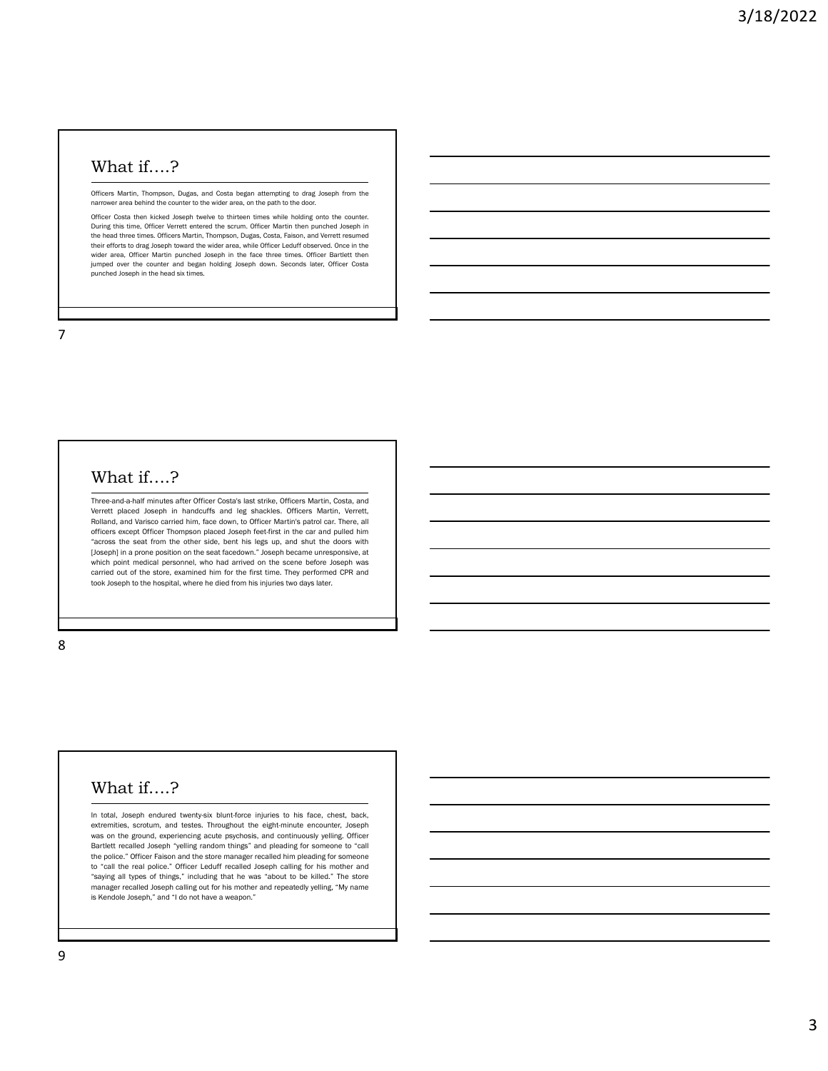### What if….?

Officers Martin, Thompson, Dugas, and Costa began attempting to drag Joseph from the narrower area behind the counter to the wider area, on the path to the door.

Officer Costa then kicked Joseph twelve to thirteen times while holding onto the counter. During this time, Officer Verrett entered the scrum. Officer Martin then punched Joseph in the head three times. Officers Martin, Thompson, Dugas, Costa, Faison, and Verrett resumed their efforts to drag Joseph toward the wider area, while Officer Leduff observed. Once in the wider area, Officer Martin punched Joseph in the face three times. Officer Bartlett then jumped over the counter and began holding Joseph down. Seconds later, Officer Costa punched Joseph in the head six times.

7

#### What if….?

Three-and-a-half minutes after Officer Costa's last strike, Officers Martin, Costa, and Verrett placed Joseph in handcuffs and leg shackles. Officers Martin, Verrett, Rolland, and Varisco carried him, face down, to Officer Martin's patrol car. There, all officers except Officer Thompson placed Joseph feet-first in the car and pulled him "across the seat from the other side, bent his legs up, and shut the doors with [Joseph] in a prone position on the seat facedown." Joseph became unresponsive, at which point medical personnel, who had arrived on the scene before Joseph was carried out of the store, examined him for the first time. They performed CPR and took Joseph to the hospital, where he died from his injuries two days later.

8

#### What if….?

In total, Joseph endured twenty-six blunt-force injuries to his face, chest, back, extremities, scrotum, and testes. Throughout the eight-minute encounter, Joseph was on the ground, experiencing acute psychosis, and continuously yelling. Officer Bartlett recalled Joseph "yelling random things" and pleading for someone to "call the police." Officer Faison and the store manager recalled him pleading for someone to "call the real police." Officer Leduff recalled Joseph calling for his mother and "saying all types of things," including that he was "about to be killed." The store manager recalled Joseph calling out for his mother and repeatedly yelling, "My name is Kendole Joseph," and "I do not have a weapon."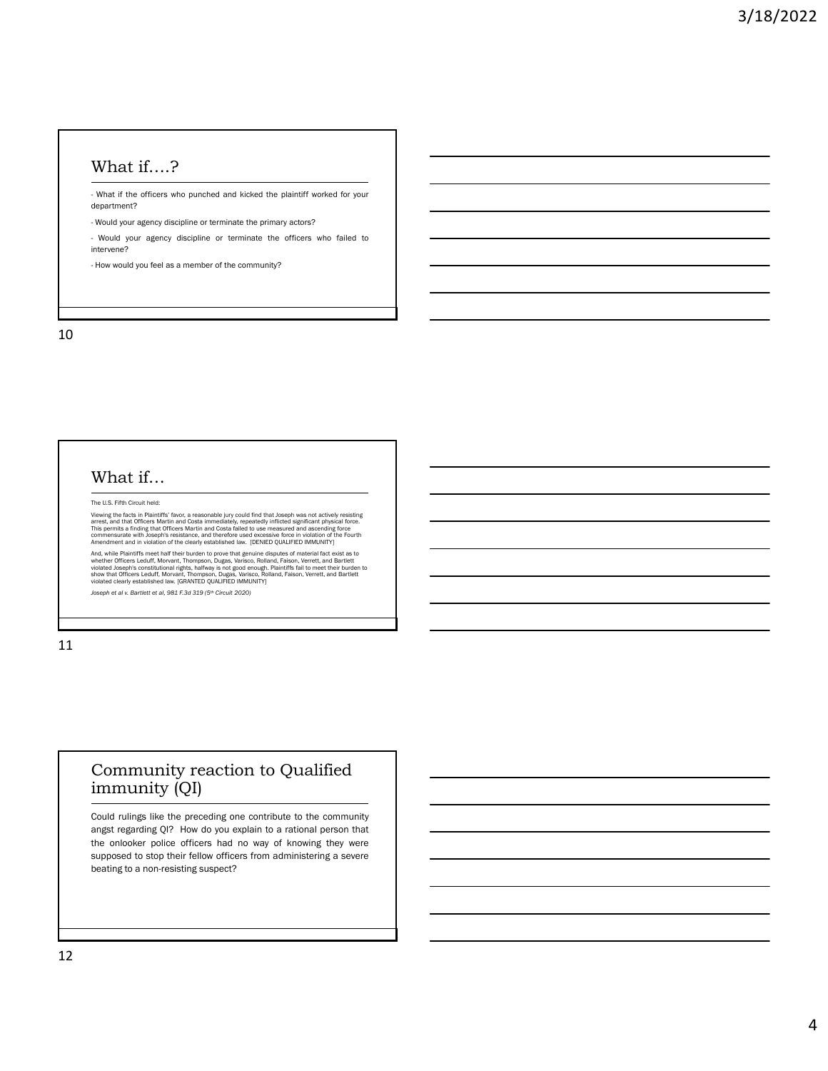# What if….?

- What if the officers who punched and kicked the plaintiff worked for your department?

- Would your agency discipline or terminate the primary actors?

- Would your agency discipline or terminate the officers who failed to intervene?

- How would you feel as a member of the community?

10

#### What if…

The U.S. Fifth Circuit held:

Viewing the facts in Plaintiffs' favor, a reasonable jury could find that Joseph was not actively resisting<br>arrest, and that Officers Martin and Costai immediately, repeatedly inflicted significant physical force.<br>This per

And, while Plaintiffs meet half their burden to prove that genuine disputes of material fact exist as to<br>whether Officers Leduff, Morvant, Thompson, Dugas, Varisco, Rolland, Faison, Verrett, and Bartlett<br>violated Joseph's

*Joseph et al v. Bartlett et al, 981 F.3d 319 (5th Circuit 2020)*

11

#### Community reaction to Qualified immunity (QI)

Could rulings like the preceding one contribute to the community angst regarding QI? How do you explain to a rational person that the onlooker police officers had no way of knowing they were supposed to stop their fellow officers from administering a severe beating to a non-resisting suspect?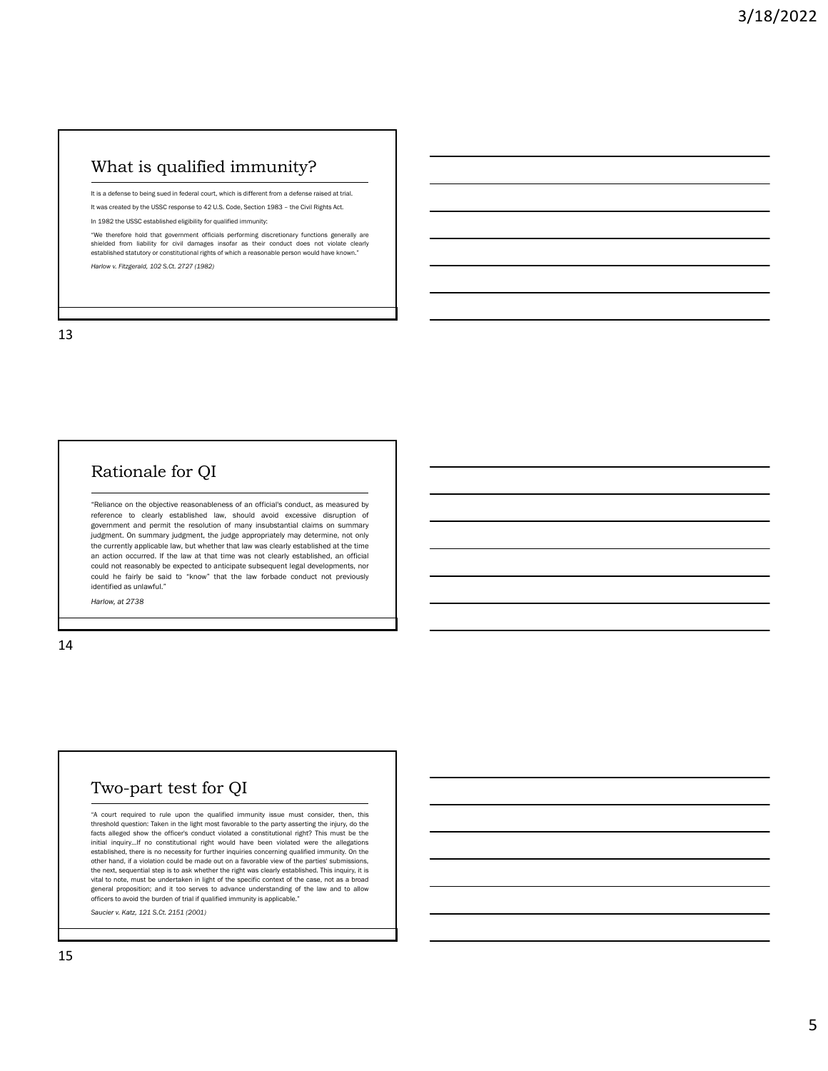# What is qualified immunity?

It is a defense to being sued in federal court, which is different from a defense raised at trial. It was created by the USSC response to 42 U.S. Code, Section 1983 - the Civil Rights Act.

In 1982 the USSC established eligibility for qualified immunity:

"We therefore hold that government officials performing discretionary functions generally are shielded from liability for civil damages insofar as their conduct does not violate clearly established statutory or constitutional rights of which a reasonable person would have known." *Harlow v. Fitzgerald, 102 S.Ct. 2727 (1982)*

13

# Rationale for QI

"Reliance on the objective reasonableness of an official's conduct, as measured by reference to clearly established law, should avoid excessive disruption of government and permit the resolution of many insubstantial claims on summary judgment. On summary judgment, the judge appropriately may determine, not only the currently applicable law, but whether that law was clearly established at the time an action occurred. If the law at that time was not clearly established, an official could not reasonably be expected to anticipate subsequent legal developments, nor could he fairly be said to "know" that the law forbade conduct not previously identified as unlawful."

*Harlow, at 2738*

14

### Two-part test for QI

"A court required to rule upon the qualified immunity issue must consider, then, this threshold question: Taken in the light most favorable to the party asserting the injury, do the facts alleged show the officer's conduct violated a constitutional right? This must be the initial inquiry…If no constitutional right would have been violated were the allegations established, there is no necessity for further inquiries concerning qualified immunity. On the other hand, if a violation could be made out on a favorable view of the parties' submissions, the next, sequential step is to ask whether the right was clearly established. This inquiry, it is vital to note, must be undertaken in light of the specific context of the case, not as a broad general proposition; and it too serves to advance understanding of the law and to allow officers to avoid the burden of trial if qualified immunity is applicable."

*Saucier v. Katz, 121 S.Ct. 2151 (2001)*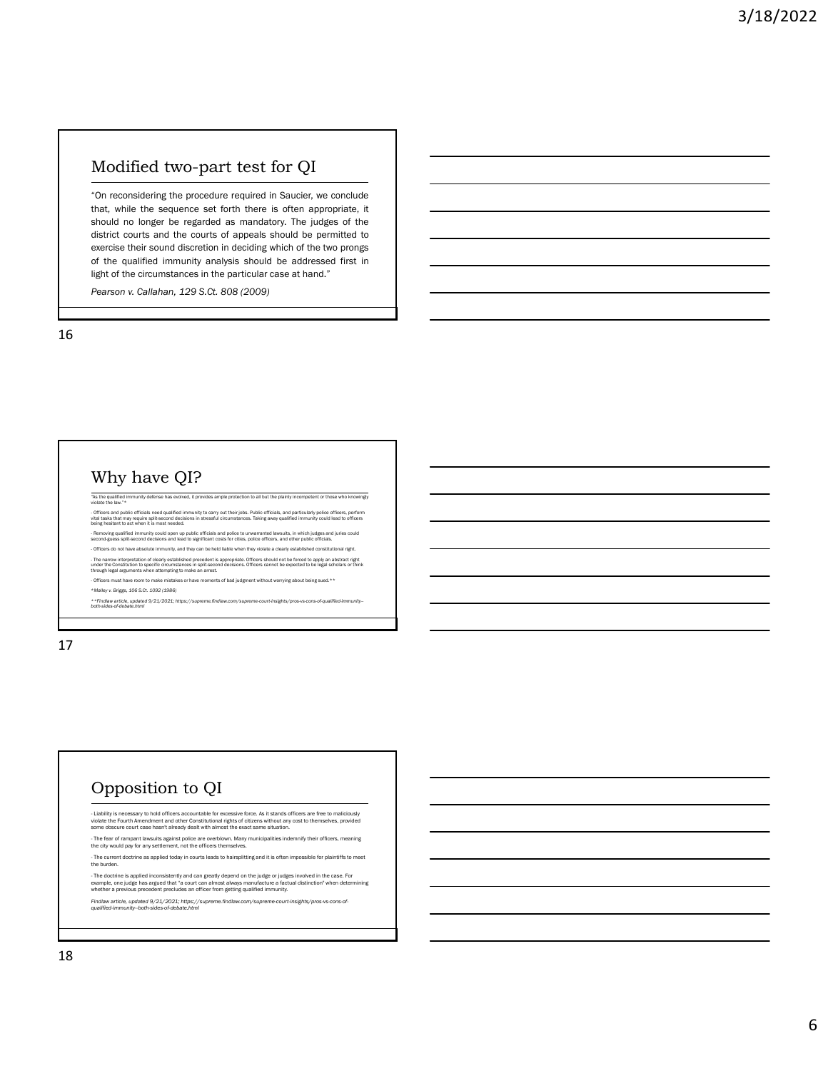# Modified two-part test for QI

"On reconsidering the procedure required in Saucier, we conclude that, while the sequence set forth there is often appropriate, it should no longer be regarded as mandatory. The judges of the district courts and the courts of appeals should be permitted to exercise their sound discretion in deciding which of the two prongs of the qualified immunity analysis should be addressed first in light of the circumstances in the particular case at hand."

*Pearson v. Callahan, 129 S.Ct. 808 (2009)*

16

#### Why have QI?

ed, it provides ample protection to all but the plainly incompetent or those who knowingly "As the qualified immunity deferentially

- Officers and public officials need qualified immunity to carry out their jobs. Public officials, and particularly police officers, perform<br>vital tasks that may require split-second decisions in stressful circumstances. T - Removing qualified immunity could open up public officials and police to unwarranted lawsuits, in which judges and juries could<br>second-guess split-second decisions and lead to significant costs for cities, police officer

- Officers do not have absolute immunity, and they can be held liable when they violate a clearly established constitutional right.

- The narrow interpretation of clearly established precedent is appropriate. Officers should not be forced to apply an abstract right<br>under the Constitution to specific circumstances in split-second decisions. Officers can - Officers must have room to make mistakes or have moments of bad judgment without worrying about being sued.\*\*

\**Malley v. Briggs, 106 S.Ct. 1092 (1986) \*\*Findlaw article, updated 9/21/2021; https://supreme.findlaw.com/supreme-court-insights/pros-vs-cons-of-qualified-immunity-- both-sides-of-debate.html*

17

# Opposition to QI

- Liability is necessary to hold officers accountable for excessive force. As it stands officers are free to maliciously<br>violate the Fourth Amendment and other Constitutional rights of citizens without any cost to themselv

- The fear of rampant lawsuits against police are overblown. Many municipalities indemnify their officers, meaning the city would pay for any settlement, not the officers themselves.

- The current doctrine as applied today in courts leads to hairsplitting and it is often impossible for plaintiffs to meet the burden.

- The doctrine is applied inconsistently and can greatly depend on the judge or judges involved in the case. For<br>example, one judge has argued that "a court can almost always manufacture a factual distinction" when determi

*Findlaw article, updated 9/21/2021; https://supreme.findlaw.com/supreme-court-insights/pros-vs-cons-of-qualified-immunity--both-sides-of-debate.html*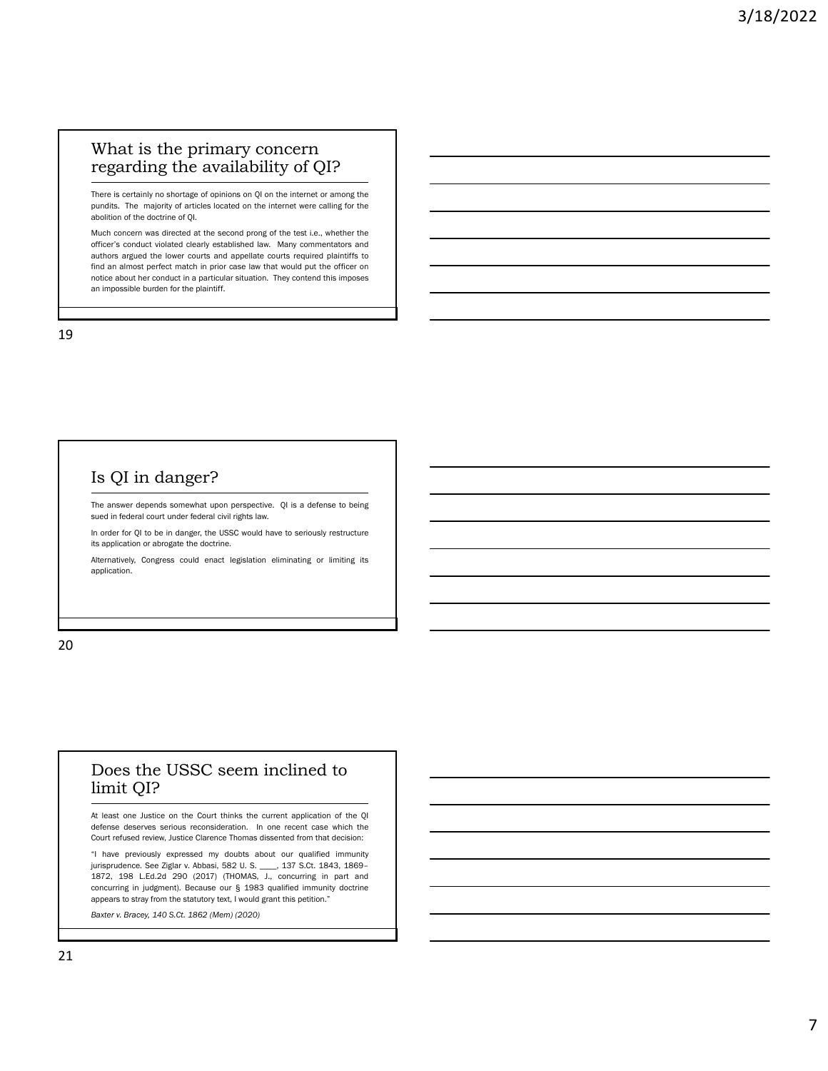#### What is the primary concern regarding the availability of QI?

There is certainly no shortage of opinions on QI on the internet or among the pundits. The majority of articles located on the internet were calling for the abolition of the doctrine of QI.

Much concern was directed at the second prong of the test i.e., whether the officer's conduct violated clearly established law. Many commentators and authors argued the lower courts and appellate courts required plaintiffs to find an almost perfect match in prior case law that would put the officer on notice about her conduct in a particular situation. They contend this imposes an impossible burden for the plaintiff.

19

# Is QI in danger?

The answer depends somewhat upon perspective. QI is a defense to being sued in federal court under federal civil rights law.

In order for QI to be in danger, the USSC would have to seriously restructure its application or abrogate the doctrine.

Alternatively, Congress could enact legislation eliminating or limiting its application.

20

#### Does the USSC seem inclined to limit QI?

At least one Justice on the Court thinks the current application of the QI defense deserves serious reconsideration. In one recent case which the Court refused review, Justice Clarence Thomas dissented from that decision:

"I have previously expressed my doubts about our qualified immunity jurisprudence. See Ziglar v. Abbasi, 582 U. S. \_\_\_\_, 137 S.Ct. 1843, 1869– 1872, 198 L.Ed.2d 290 (2017) (THOMAS, J., concurring in part and concurring in judgment). Because our § 1983 qualified immunity doctrine appears to stray from the statutory text, I would grant this petition."

*Baxter v. Bracey, 140 S.Ct. 1862 (Mem) (2020)*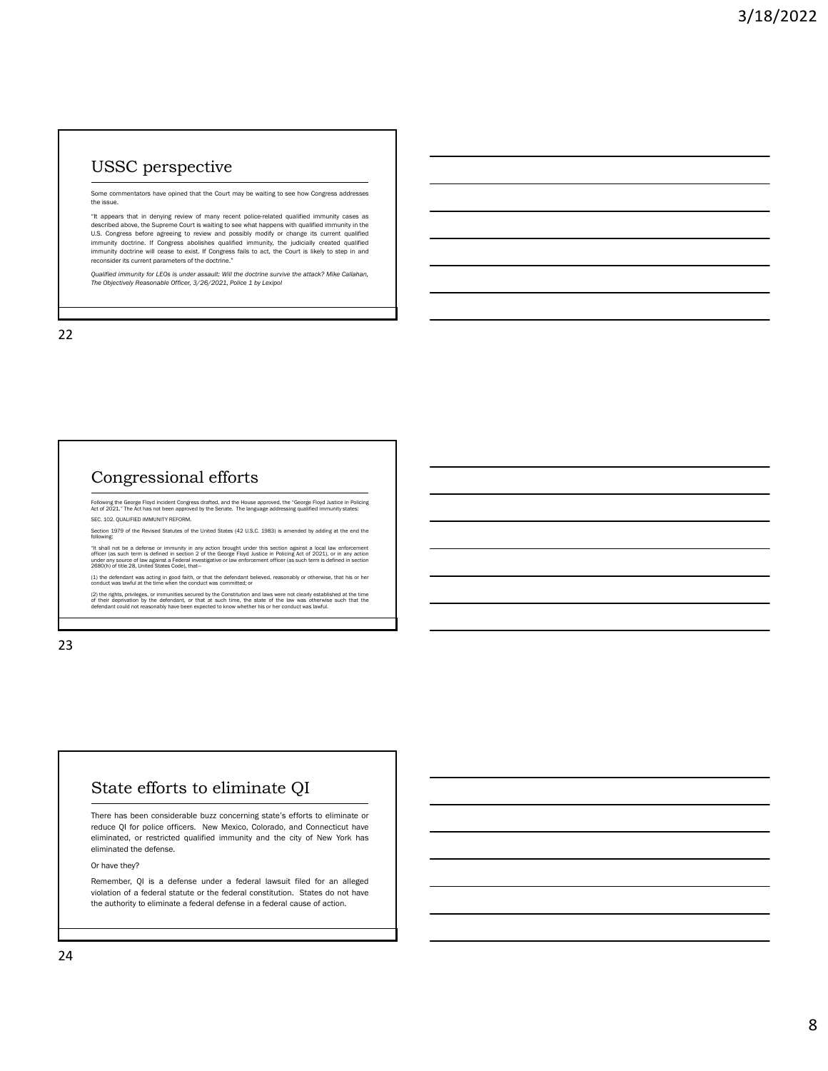# USSC perspective

Some commentators have opined that the Court may be waiting to see how Congress addresses the issue.

"It appears that in denying review of many recent police-related qualified immunity cases as described above, the Supreme Court is waiting to see what happens with qualified immunity in the U.S. Congress before agreeing to review and possibly modify or change its current qualified<br>immunity doctrine. If Congress abolishes qualified immunity, the judicially created qualified<br>immunity doctrine will cease to exis reconsider its current parameters of the doctrine."

*Qualified immunity for LEOs is under assault: Will the doctrine survive the attack? Mike Callahan, The Objectively Reasonable Officer, 3/26/2021, Police 1 by Lexipol*

22

### Congressional efforts

Following the George Floyd incident Congress drafted, and the House approved, the "George Floyd Justice in Policing<br>Act of 2021." The Act has not been approved by the Senate. The language addressing qualified immunity sta SEC. 102. QUALIFIED IMMUNITY REFORM.

Section 1979 of the Revised Statutes of the United States (42 U.S.C. 1983) is amended by adding at the end the following:

"It shall not be a defense or immunity in any action brought under this section against a local law enforcement<br>officer (as such term is defined in section 2 of the George Floyd Justice in Policing Act of 2021), or in any

(1) the defendant was acting in good faith, or that the defendant believed, reasonably or otherwise, that his or her conduct was lawful at the time when the conduct was committed; or

(2) the rights, privileges, or immunities secured by the Constitution and laws were not clearly established at the time<br>of their deprivation by the defendant, or that at such time, the state of the law was otherwise such t

23

### State efforts to eliminate QI

There has been considerable buzz concerning state's efforts to eliminate or reduce QI for police officers. New Mexico, Colorado, and Connecticut have eliminated, or restricted qualified immunity and the city of New York has eliminated the defense.

Or have they?

Remember, QI is a defense under a federal lawsuit filed for an alleged violation of a federal statute or the federal constitution. States do not have the authority to eliminate a federal defense in a federal cause of action.

24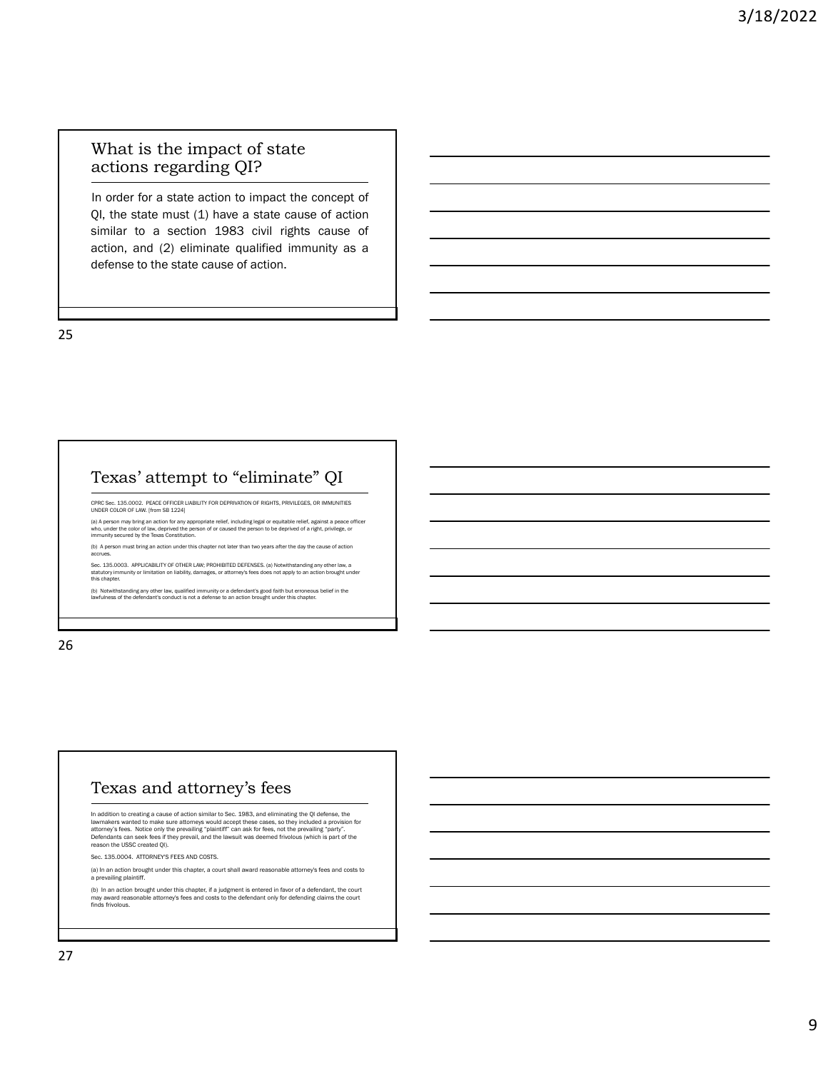#### What is the impact of state actions regarding QI?

In order for a state action to impact the concept of QI, the state must (1) have a state cause of action similar to a section 1983 civil rights cause of action, and (2) eliminate qualified immunity as a defense to the state cause of action.

25

#### Texas' attempt to "eliminate" QI

CPRC Sec. 135.0002. PEACE OFFICER LIABILITY FOR DEPRIVATION OF RIGHTS, PRIVILEGES, OR IMMUNITIES UNDER COLOR OF LAW. [from SB 1224]

(a) A person may bring an action for any appropriate relief, including legal or equitable relief, against a peace officer<br>who, under the color of law, deprived the person of or caused the person to be deprived of a right,

(b) A person must bring an action under this chapter not later than two years after the day the cause of action accrues.

Sec. 135.0003. APPLICABILITY OF OTHER LAW; PROHIBITED DEFENSES. (a) Notwithstanding any other law, a<br>statutory immunity or limitation on liability, damages, or attorney's fees does not apply to an action brought under<br>thi

(b) Notwithstanding any other law, qualified immunity or a defendant's good faith but erroneous belief in the lawfulness of the defendant's conduct is not a defense to an action brought under this chapter.

26

#### Texas and attorney's fees

In addition to creating a cause of action similar to Sec. 1983, and eliminating the QI defense, the<br>lawmakers wanted to make sure attorneys would accept these cases, so they included a provision for<br>attorney's fees. Notice Defendants can seek fees if they prevail, and the lawsuit was deemed frivolous (which is part of the reason the USSC created QI).

Sec. 135.0004. ATTORNEY'S FEES AND COSTS.

(a) In an action brought under this chapter, a court shall award reasonable attorney's fees and costs to a prevailing plaintiff.

(b) In an action brought under this chapter, if a judgment is entered in favor of a defendant, the court may award reasonable attorney's fees and costs to the defendant only for defending claims the court finds frivolous.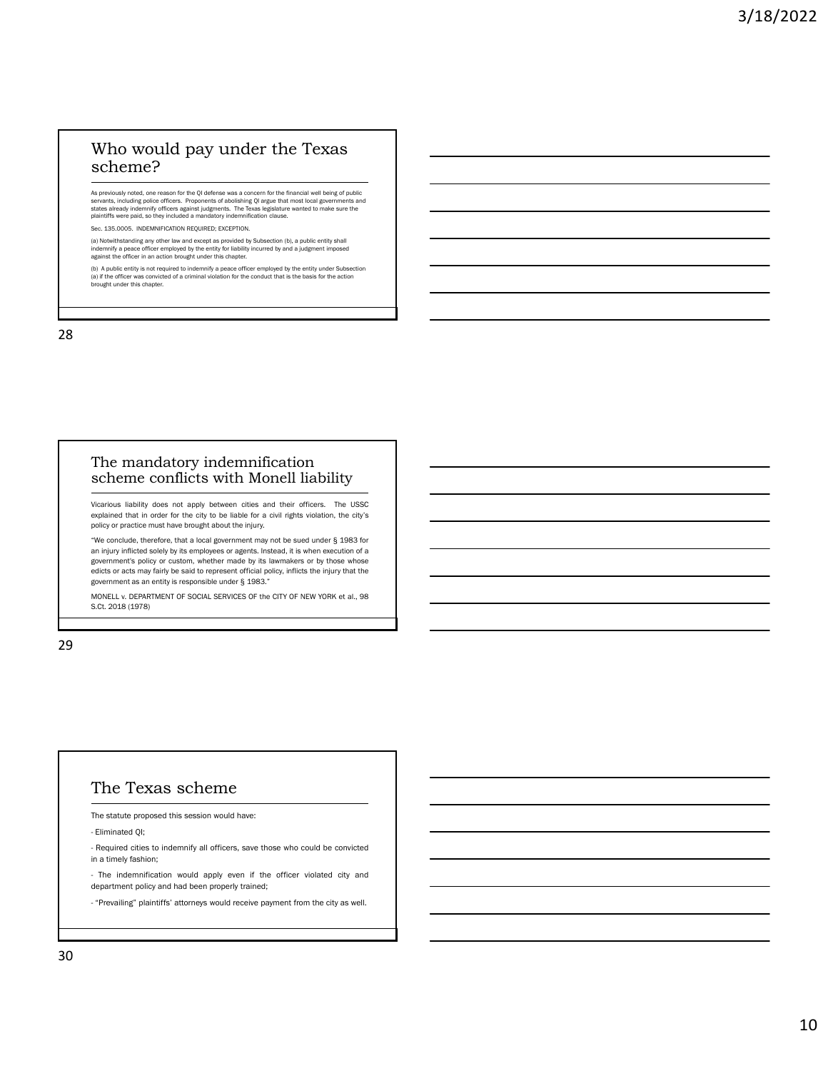#### Who would pay under the Texas scheme?

As previously noted, one reason for the QI defense was a concern for the financial well being of public<br>servants, including police officers. Proponents of abolishing QI argue that most local governments and<br>states already

Sec. 135.0005. INDEMNIFICATION REQUIRED; EXCEPTION.

(a) Notwithstanding any other law and except as provided by Subsection (b), a public entity shall indemnify a peace officer employed by the entity for liability incurred by and a judgment imposed against the officer in an action brought under this chapter.

(b) A public entity is not required to indemnify a peace officer employed by the entity under Subsection<br>(a) if the officer was convicted of a criminal violation for the conduct that is the basis for the action<br>brought und

28

#### The mandatory indemnification scheme conflicts with Monell liability

Vicarious liability does not apply between cities and their officers. The USSC explained that in order for the city to be liable for a civil rights violation, the city's policy or practice must have brought about the injury.

"We conclude, therefore, that a local government may not be sued under § 1983 for an injury inflicted solely by its employees or agents. Instead, it is when execution of a government's policy or custom, whether made by its lawmakers or by those whose edicts or acts may fairly be said to represent official policy, inflicts the injury that the government as an entity is responsible under § 1983."

MONELL v. DEPARTMENT OF SOCIAL SERVICES OF the CITY OF NEW YORK et al., 98 S.Ct. 2018 (1978)

29

#### The Texas scheme

The statute proposed this session would have:

- Eliminated QI;

- Required cities to indemnify all officers, save those who could be convicted in a timely fashion;

- The indemnification would apply even if the officer violated city and department policy and had been properly trained;

- "Prevailing" plaintiffs' attorneys would receive payment from the city as well.